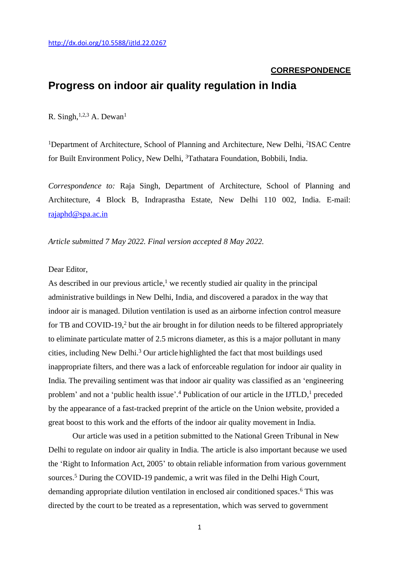### **CORRESPONDENCE**

# **Progress on indoor air quality regulation in India**

R. Singh,  $1,2,3$  A. Dewan<sup>1</sup>

<sup>1</sup>Department of Architecture, School of Planning and Architecture, New Delhi, <sup>2</sup>ISAC Centre for Built Environment Policy, New Delhi, <sup>3</sup>Tathatara Foundation, Bobbili, India.

*Correspondence to:* Raja Singh, Department of Architecture, School of Planning and Architecture, 4 Block B, Indraprastha Estate, New Delhi 110 002, India. E-mail: [rajaphd@spa.ac.in](mailto:rajaphd@spa.ac.in)

*Article submitted 7 May 2022. Final version accepted 8 May 2022.*

## Dear Editor,

As described in our previous article,<sup>1</sup> we recently studied air quality in the principal administrative buildings in New Delhi, India, and discovered a paradox in the way that indoor air is managed. Dilution ventilation is used as an airborne infection control measure for TB and COVID-19,<sup>2</sup> but the air brought in for dilution needs to be filtered appropriately to eliminate particulate matter of 2.5 microns diameter, as this is a major pollutant in many cities, including New Delhi. <sup>3</sup> Our article highlighted the fact that most buildings used inappropriate filters, and there was a lack of enforceable regulation for indoor air quality in India. The prevailing sentiment was that indoor air quality was classified as an 'engineering problem' and not a 'public health issue'.<sup>4</sup> Publication of our article in the IJTLD,<sup>1</sup> preceded by the appearance of a fast-tracked preprint of the article on the Union website, provided a great boost to this work and the efforts of the indoor air quality movement in India.

Our article was used in a petition submitted to the National Green Tribunal in New Delhi to regulate on indoor air quality in India. The article is also important because we used the 'Right to Information Act, 2005' to obtain reliable information from various government sources.<sup>5</sup> During the COVID-19 pandemic, a writ was filed in the Delhi High Court, demanding appropriate dilution ventilation in enclosed air conditioned spaces. <sup>6</sup> This was directed by the court to be treated as a representation, which was served to government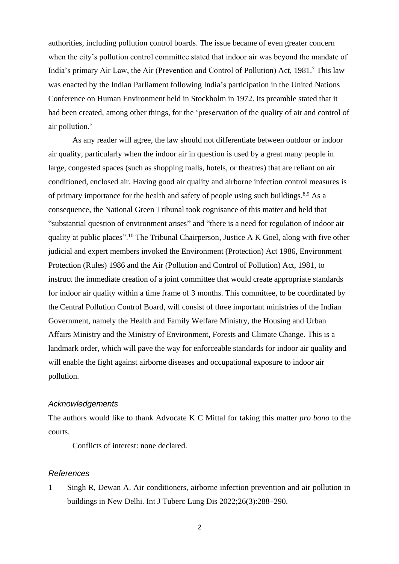authorities, including pollution control boards. The issue became of even greater concern when the city's pollution control committee stated that indoor air was beyond the mandate of India's primary Air Law, the Air (Prevention and Control of Pollution) Act, 1981. <sup>7</sup> This law was enacted by the Indian Parliament following India's participation in the United Nations Conference on Human Environment held in Stockholm in 1972. Its preamble stated that it had been created, among other things, for the 'preservation of the quality of air and control of air pollution.'

As any reader will agree, the law should not differentiate between outdoor or indoor air quality, particularly when the indoor air in question is used by a great many people in large, congested spaces (such as shopping malls, hotels, or theatres) that are reliant on air conditioned, enclosed air. Having good air quality and airborne infection control measures is of primary importance for the health and safety of people using such buildings.<sup>8,9</sup> As a consequence, the National Green Tribunal took cognisance of this matter and held that "substantial question of environment arises" and "there is a need for regulation of indoor air quality at public places".<sup>10</sup> The Tribunal Chairperson, Justice A K Goel, along with five other judicial and expert members invoked the Environment (Protection) Act 1986, Environment Protection (Rules) 1986 and the Air (Pollution and Control of Pollution) Act, 1981, to instruct the immediate creation of a joint committee that would create appropriate standards for indoor air quality within a time frame of 3 months. This committee, to be coordinated by the Central Pollution Control Board, will consist of three important ministries of the Indian Government, namely the Health and Family Welfare Ministry, the Housing and Urban Affairs Ministry and the Ministry of Environment, Forests and Climate Change. This is a landmark order, which will pave the way for enforceable standards for indoor air quality and will enable the fight against airborne diseases and occupational exposure to indoor air pollution.

## *Acknowledgements*

The authors would like to thank Advocate K C Mittal for taking this matter *pro bono* to the courts.

Conflicts of interest: none declared.

#### *References*

1 Singh R, Dewan A. Air conditioners, airborne infection prevention and air pollution in buildings in New Delhi. Int J Tuberc Lung Dis 2022;26(3):288–290.